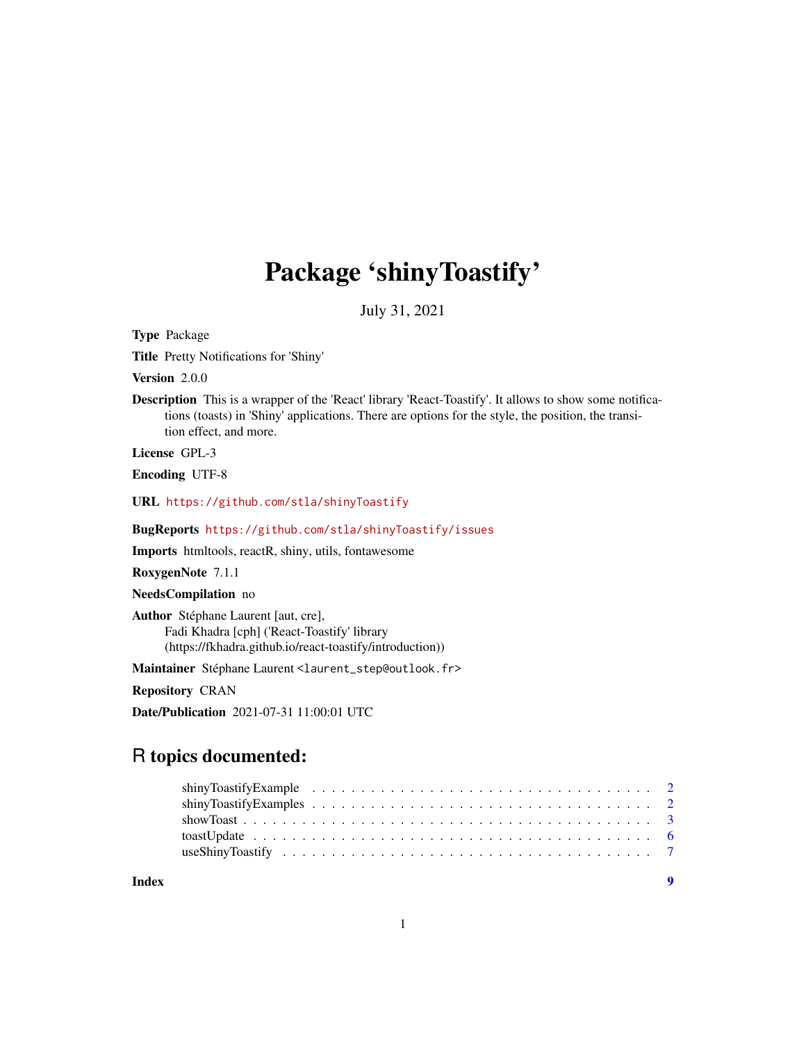## Package 'shinyToastify'

July 31, 2021

<span id="page-0-0"></span>Type Package

Title Pretty Notifications for 'Shiny'

Version 2.0.0

Description This is a wrapper of the 'React' library 'React-Toastify'. It allows to show some notifications (toasts) in 'Shiny' applications. There are options for the style, the position, the transition effect, and more.

License GPL-3

Encoding UTF-8

URL <https://github.com/stla/shinyToastify>

BugReports <https://github.com/stla/shinyToastify/issues>

Imports htmltools, reactR, shiny, utils, fontawesome

RoxygenNote 7.1.1

NeedsCompilation no

Author Stéphane Laurent [aut, cre], Fadi Khadra [cph] ('React-Toastify' library (https://fkhadra.github.io/react-toastify/introduction))

Maintainer Stéphane Laurent <laurent\_step@outlook.fr>

Repository CRAN

Date/Publication 2021-07-31 11:00:01 UTC

## R topics documented:

| Index |  |  |  |  |  |  |  |  |  |  |  |  |  |  |  |  |
|-------|--|--|--|--|--|--|--|--|--|--|--|--|--|--|--|--|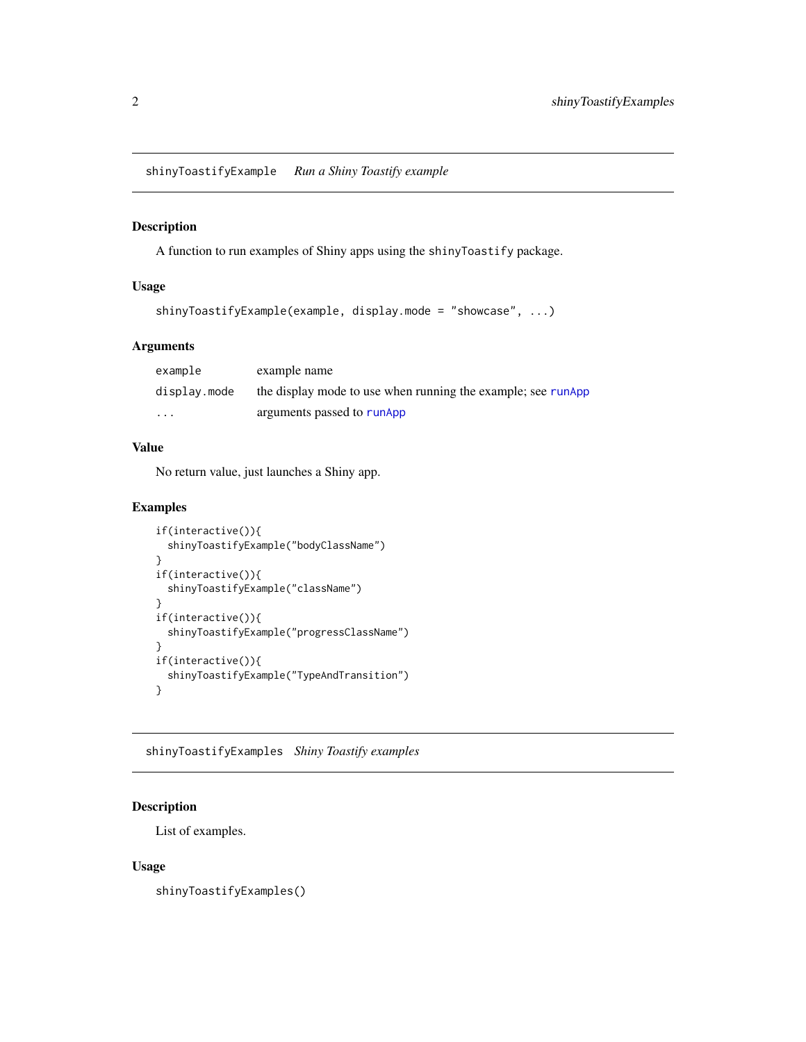<span id="page-1-0"></span>shinyToastifyExample *Run a Shiny Toastify example*

#### Description

A function to run examples of Shiny apps using the shinyToastify package.

## Usage

```
shinyToastifyExample(example, display.mode = "showcase", ...)
```
## Arguments

| example      | example name                                                 |
|--------------|--------------------------------------------------------------|
| display.mode | the display mode to use when running the example; see runApp |
| $\cdot$      | arguments passed to runApp                                   |

## Value

No return value, just launches a Shiny app.

## Examples

```
if(interactive()){
 shinyToastifyExample("bodyClassName")
}
if(interactive()){
 shinyToastifyExample("className")
}
if(interactive()){
 shinyToastifyExample("progressClassName")
}
if(interactive()){
 shinyToastifyExample("TypeAndTransition")
}
```
shinyToastifyExamples *Shiny Toastify examples*

## Description

List of examples.

## Usage

shinyToastifyExamples()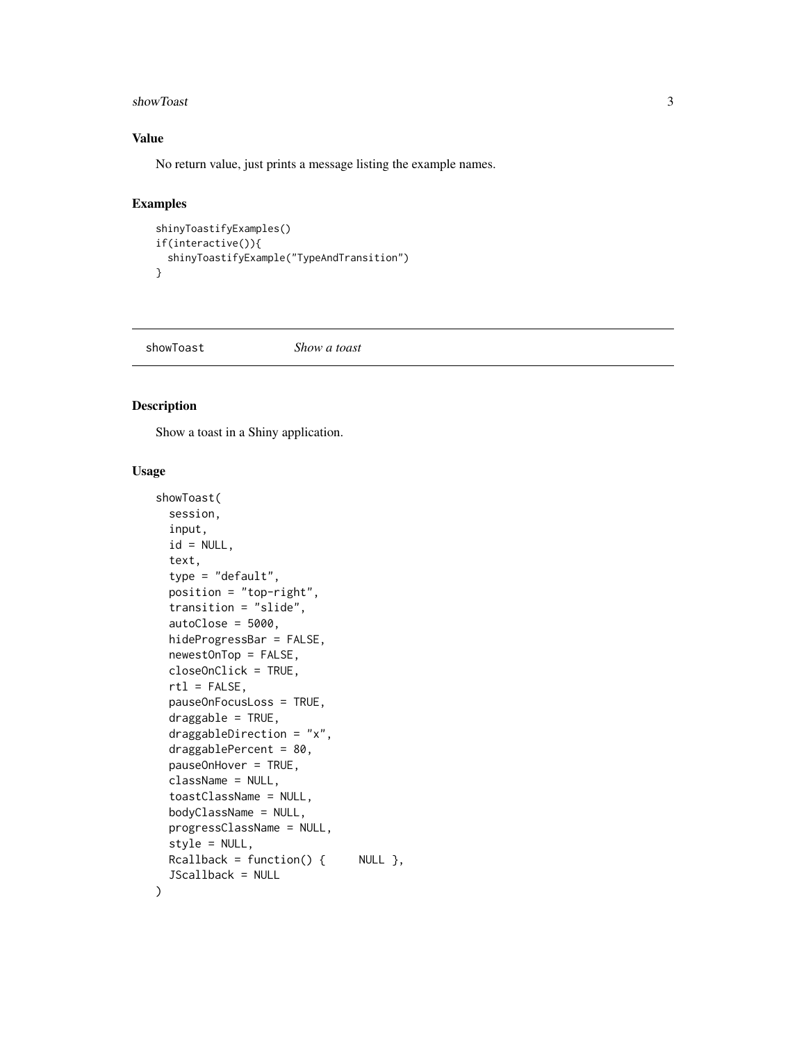#### <span id="page-2-0"></span>showToast 3

## Value

No return value, just prints a message listing the example names.

## Examples

```
shinyToastifyExamples()
if(interactive()){
 shinyToastifyExample("TypeAndTransition")
}
```
<span id="page-2-1"></span>showToast *Show a toast*

## Description

Show a toast in a Shiny application.

## Usage

```
showToast(
  session,
  input,
  id = NULL,text,
  type = "default",
  position = "top-right",
  transition = "slide",
  autoClose = 5000,
  hideProgressBar = FALSE,
 newestOnTop = FALSE,
  closeOnClick = TRUE,
  rt1 = FALSE,pauseOnFocusLoss = TRUE,
  draggable = TRUE,
  draggableDirection = "x",
  draggablePercent = 80,
  pauseOnHover = TRUE,
  className = NULL,
  toastClassName = NULL,
  bodyClassName = NULL,
 progressClassName = NULL,
  style = NULL,
 Rcallback = function() { NULL },
  JScallback = NULL
\mathcal{E}
```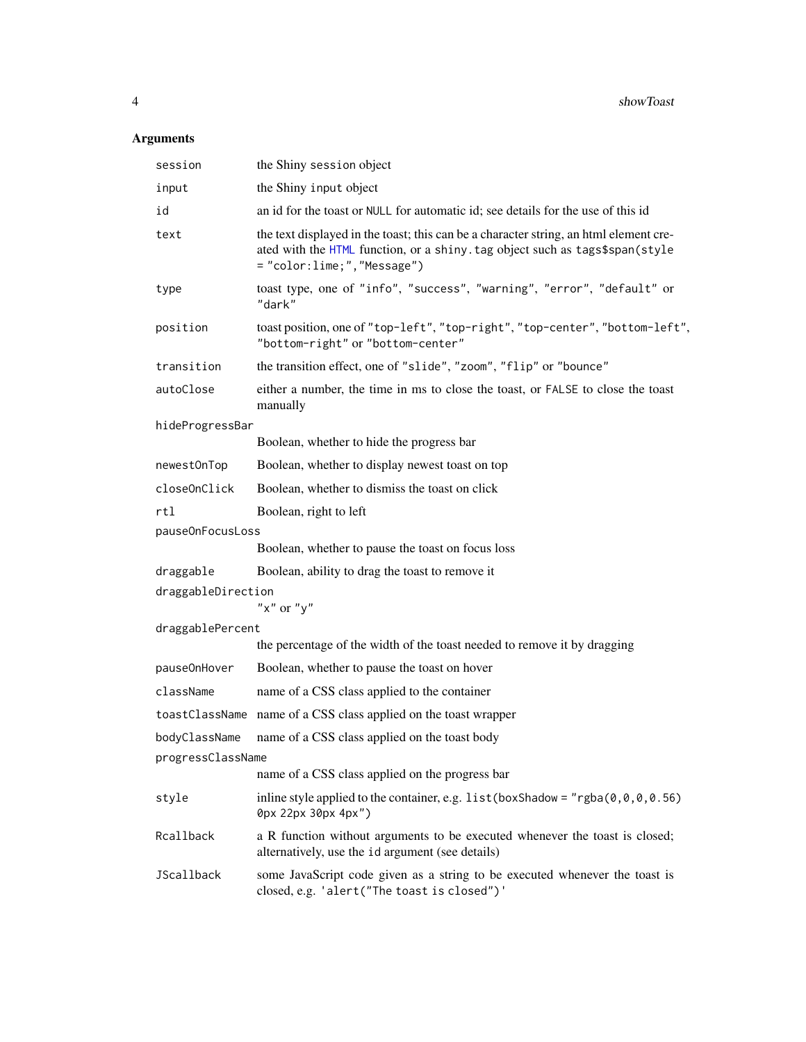## <span id="page-3-0"></span>Arguments

| session            | the Shiny session object                                                                                                                                                                             |
|--------------------|------------------------------------------------------------------------------------------------------------------------------------------------------------------------------------------------------|
| input              | the Shiny input object                                                                                                                                                                               |
| id                 | an id for the toast or NULL for automatic id; see details for the use of this id                                                                                                                     |
| text               | the text displayed in the toast; this can be a character string, an html element cre-<br>ated with the HTML function, or a shiny. tag object such as tags\$span(style<br>= "color:lime;", "Message") |
| type               | toast type, one of "info", "success", "warning", "error", "default" or<br>"dark"                                                                                                                     |
| position           | toast position, one of "top-left", "top-right", "top-center", "bottom-left",<br>"bottom-right" or "bottom-center"                                                                                    |
| transition         | the transition effect, one of "slide", "zoom", "flip" or "bounce"                                                                                                                                    |
| autoClose          | either a number, the time in ms to close the toast, or FALSE to close the toast<br>manually                                                                                                          |
| hideProgressBar    |                                                                                                                                                                                                      |
|                    | Boolean, whether to hide the progress bar                                                                                                                                                            |
| newestOnTop        | Boolean, whether to display newest toast on top                                                                                                                                                      |
| closeOnClick       | Boolean, whether to dismiss the toast on click                                                                                                                                                       |
| rtl                | Boolean, right to left                                                                                                                                                                               |
| pauseOnFocusLoss   |                                                                                                                                                                                                      |
|                    | Boolean, whether to pause the toast on focus loss                                                                                                                                                    |
| draggable          | Boolean, ability to drag the toast to remove it                                                                                                                                                      |
| draggableDirection | " $x$ " or " $y$ "                                                                                                                                                                                   |
| draggablePercent   |                                                                                                                                                                                                      |
|                    | the percentage of the width of the toast needed to remove it by dragging                                                                                                                             |
| pause0nHover       | Boolean, whether to pause the toast on hover                                                                                                                                                         |
| className          | name of a CSS class applied to the container                                                                                                                                                         |
|                    | toastClassName name of a CSS class applied on the toast wrapper                                                                                                                                      |
| bodyClassName      | name of a CSS class applied on the toast body                                                                                                                                                        |
| progressClassName  |                                                                                                                                                                                                      |
|                    | name of a CSS class applied on the progress bar                                                                                                                                                      |
| style              | inline style applied to the container, e.g. list (boxShadow = "rgba $(0, 0, 0, 0.56)$<br>0px 22px 30px 4px")                                                                                         |
| Rcallback          | a R function without arguments to be executed whenever the toast is closed;<br>alternatively, use the id argument (see details)                                                                      |
| JScallback         | some JavaScript code given as a string to be executed whenever the toast is<br>closed, e.g. 'alert("The toast is closed")'                                                                           |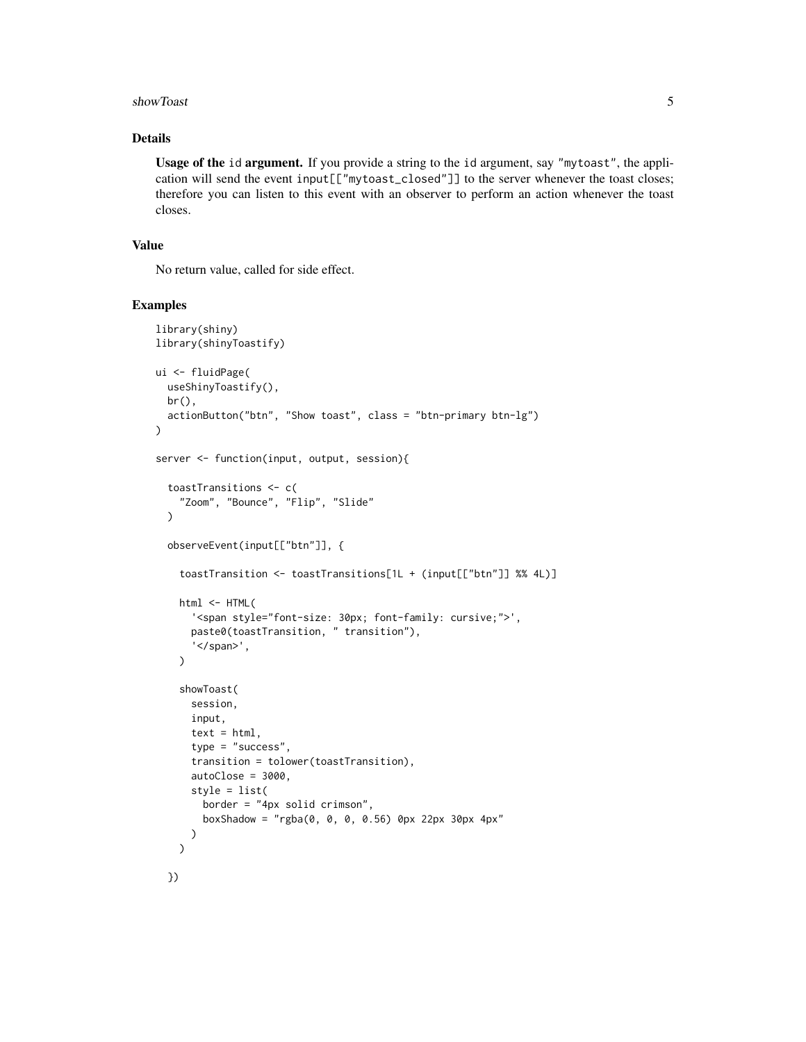#### showToast 5

## Details

Usage of the id argument. If you provide a string to the id argument, say "mytoast", the application will send the event input[["mytoast\_closed"]] to the server whenever the toast closes; therefore you can listen to this event with an observer to perform an action whenever the toast closes.

## Value

No return value, called for side effect.

#### Examples

```
library(shiny)
library(shinyToastify)
ui <- fluidPage(
  useShinyToastify(),
  br(),
  actionButton("btn", "Show toast", class = "btn-primary btn-lg")
)
server <- function(input, output, session){
  toastTransitions <- c(
    "Zoom", "Bounce", "Flip", "Slide"
  \lambdaobserveEvent(input[["btn"]], {
    toastTransition <- toastTransitions[1L + (input[["btn"]] %% 4L)]
    html <- HTML(
      '<span style="font-size: 30px; font-family: cursive;">',
      paste0(toastTransition, " transition"),
      '</span>',
    \lambdashowToast(
      session,
      input,
      text = <math>html</math>,type = "success",
      transition = tolower(toastTransition),
      autoClose = 3000,
      style = list(
        border = "4px solid crimson",
        boxShadow = "rgba(0, 0, 0, 0.56) 0px 22px 30px 4px"
      )
    )
```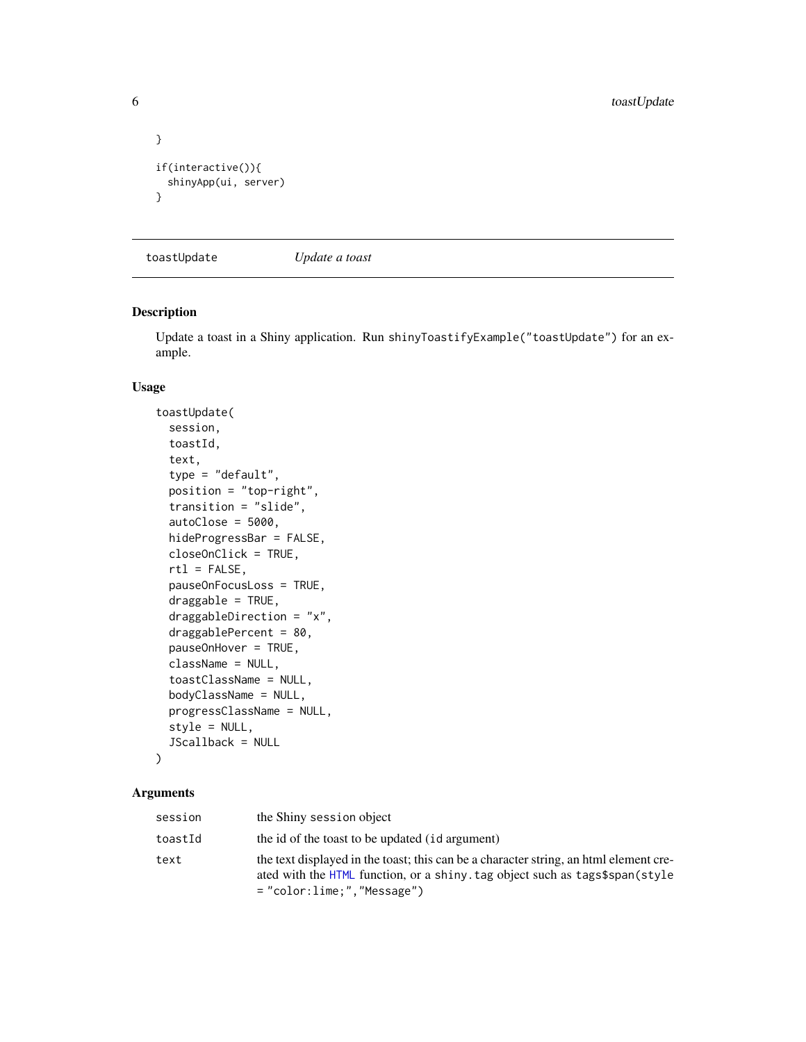```
}
if(interactive()){
  shinyApp(ui, server)
}
```
toastUpdate *Update a toast*

## Description

Update a toast in a Shiny application. Run shinyToastifyExample("toastUpdate") for an example.

## Usage

```
toastUpdate(
  session,
  toastId,
  text,
  type = "default",
 position = "top-right",
  transition = "slide",
  autoClose = 5000,
 hideProgressBar = FALSE,
 closeOnClick = TRUE,
  rtl = FALSE,pauseOnFocusLoss = TRUE,
  draggable = TRUE,
  draggableDirection = "x",
  draggablePercent = 80,
  pauseOnHover = TRUE,
  className = NULL,
  toastClassName = NULL,
 bodyClassName = NULL,
 progressClassName = NULL,
  style = NULL,
  JScallback = NULL
```
## Arguments

)

| session | the Shiny session object                                                                                                                                                                           |
|---------|----------------------------------------------------------------------------------------------------------------------------------------------------------------------------------------------------|
| toastId | the id of the toast to be updated (id argument)                                                                                                                                                    |
| text    | the text displayed in the toast; this can be a character string, an html element cre-<br>ated with the HTML function, or a shiny, tag object such as tags\$span(style<br>="color:lime:"."Message") |

<span id="page-5-0"></span>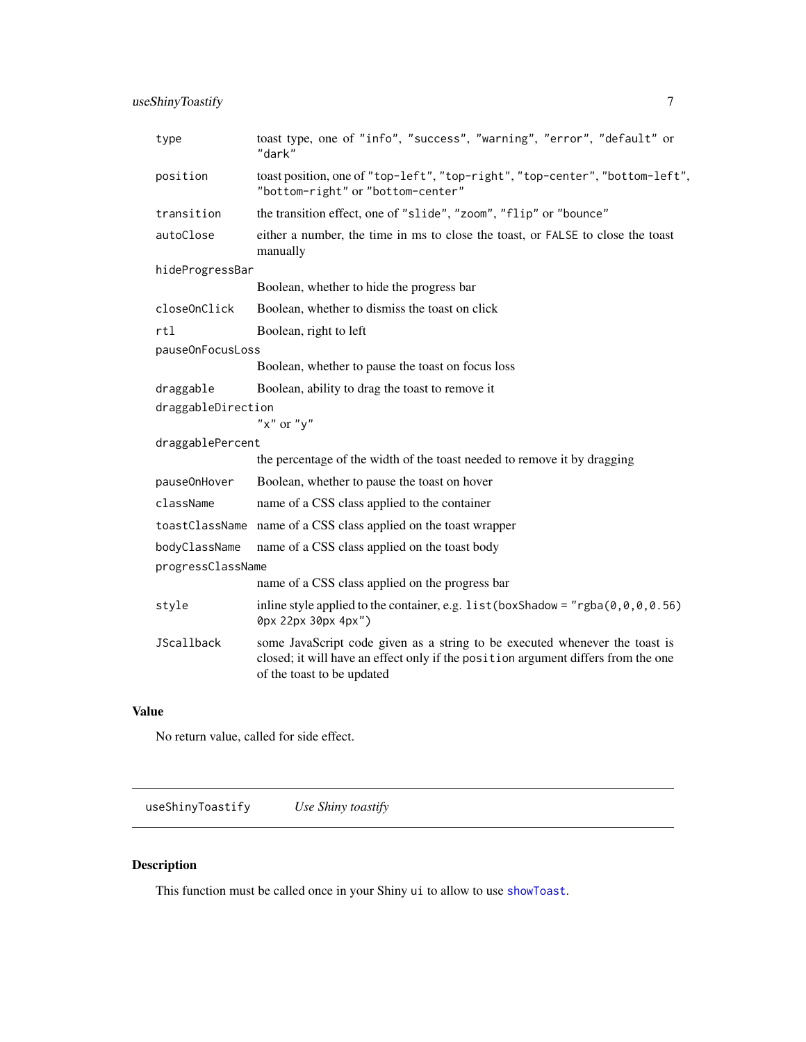<span id="page-6-0"></span>useShinyToastify 7

| type               | toast type, one of "info", "success", "warning", "error", "default" or<br>"dark"                                                                                                               |
|--------------------|------------------------------------------------------------------------------------------------------------------------------------------------------------------------------------------------|
| position           | toast position, one of "top-left", "top-right", "top-center", "bottom-left",<br>"bottom-right" or "bottom-center"                                                                              |
| transition         | the transition effect, one of "slide", "zoom", "flip" or "bounce"                                                                                                                              |
| autoClose          | either a number, the time in ms to close the toast, or FALSE to close the toast<br>manually                                                                                                    |
| hideProgressBar    |                                                                                                                                                                                                |
|                    | Boolean, whether to hide the progress bar                                                                                                                                                      |
| closeOnClick       | Boolean, whether to dismiss the toast on click                                                                                                                                                 |
| rtl                | Boolean, right to left                                                                                                                                                                         |
| pauseOnFocusLoss   |                                                                                                                                                                                                |
|                    | Boolean, whether to pause the toast on focus loss                                                                                                                                              |
| draggable          | Boolean, ability to drag the toast to remove it.                                                                                                                                               |
| draggableDirection |                                                                                                                                                                                                |
|                    | " $x$ " or " $y$ "                                                                                                                                                                             |
| draggablePercent   |                                                                                                                                                                                                |
|                    | the percentage of the width of the toast needed to remove it by dragging                                                                                                                       |
| pause0nHover       | Boolean, whether to pause the toast on hover                                                                                                                                                   |
| className          | name of a CSS class applied to the container                                                                                                                                                   |
|                    | toastClassName name of a CSS class applied on the toast wrapper                                                                                                                                |
| bodyClassName      | name of a CSS class applied on the toast body                                                                                                                                                  |
| progressClassName  |                                                                                                                                                                                                |
|                    | name of a CSS class applied on the progress bar                                                                                                                                                |
| style              | in line style applied to the container, e.g. list (box Shadow = "rgba( $\theta$ , $\theta$ , $\theta$ , $\theta$ , 56)<br>0px 22px 30px 4px")                                                  |
| JScallback         | some JavaScript code given as a string to be executed whenever the toast is<br>closed; it will have an effect only if the position argument differs from the one<br>of the toast to be updated |

## Value

No return value, called for side effect.

useShinyToastify *Use Shiny toastify*

## Description

This function must be called once in your Shiny ui to allow to use [showToast](#page-2-1).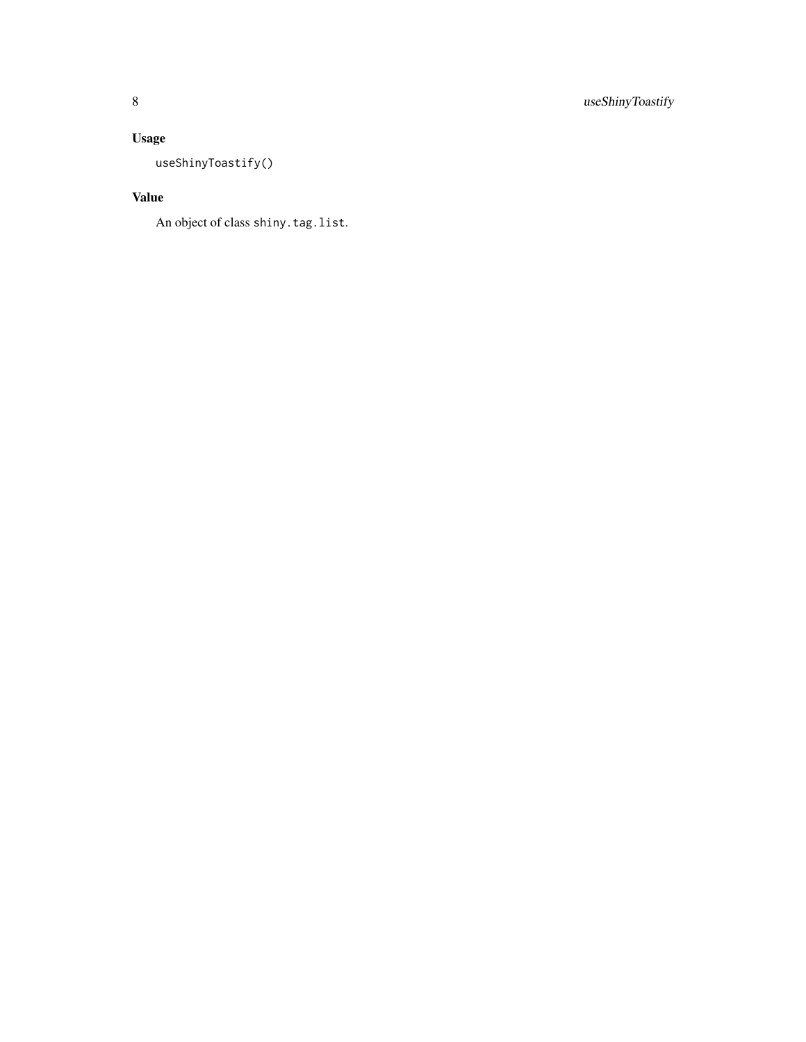## Usage

useShinyToastify()

## Value

An object of class shiny.tag.list.